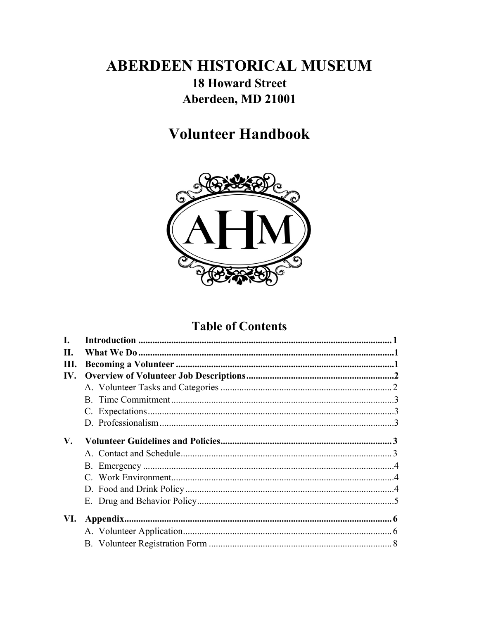# **ABERDEEN HISTORICAL MUSEUM 18 Howard Street** Aberdeen, MD 21001

# **Volunteer Handbook**



# **Table of Contents**

| L.   |  |
|------|--|
| Н.   |  |
| III. |  |
| IV.  |  |
|      |  |
|      |  |
|      |  |
|      |  |
| V.   |  |
|      |  |
|      |  |
|      |  |
|      |  |
|      |  |
|      |  |
| VI.  |  |
|      |  |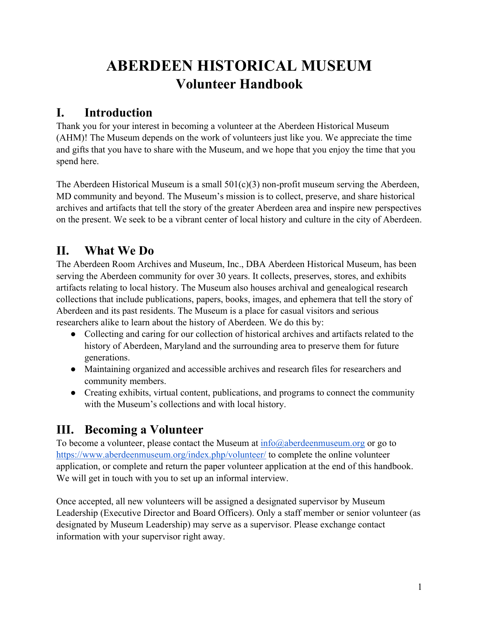# **ABERDEEN HISTORICAL MUSEUM Volunteer Handbook**

## **I. Introduction**

Thank you for your interest in becoming a volunteer at the Aberdeen Historical Museum (AHM)! The Museum depends on the work of volunteers just like you. We appreciate the time and gifts that you have to share with the Museum, and we hope that you enjoy the time that you spend here.

The Aberdeen Historical Museum is a small  $501(c)(3)$  non-profit museum serving the Aberdeen, MD community and beyond. The Museum's mission is to collect, preserve, and share historical archives and artifacts that tell the story of the greater Aberdeen area and inspire new perspectives on the present. We seek to be a vibrant center of local history and culture in the city of Aberdeen.

# **II. What We Do**

The Aberdeen Room Archives and Museum, Inc., DBA Aberdeen Historical Museum, has been serving the Aberdeen community for over 30 years. It collects, preserves, stores, and exhibits artifacts relating to local history. The Museum also houses archival and genealogical research collections that include publications, papers, books, images, and ephemera that tell the story of Aberdeen and its past residents. The Museum is a place for casual visitors and serious researchers alike to learn about the history of Aberdeen. We do this by:

- Collecting and caring for our collection of historical archives and artifacts related to the history of Aberdeen, Maryland and the surrounding area to preserve them for future generations.
- Maintaining organized and accessible archives and research files for researchers and community members.
- Creating exhibits, virtual content, publications, and programs to connect the community with the Museum's collections and with local history.

# **III. Becoming a Volunteer**

To become a volunteer, please contact the Museum at  $\frac{info(@aberdeenmuseum.org)$  or go to https://www.aberdeenmuseum.org/index.php/volunteer/ to complete the online volunteer application, or complete and return the paper volunteer application at the end of this handbook. We will get in touch with you to set up an informal interview.

Once accepted, all new volunteers will be assigned a designated supervisor by Museum Leadership (Executive Director and Board Officers). Only a staff member or senior volunteer (as designated by Museum Leadership) may serve as a supervisor. Please exchange contact information with your supervisor right away.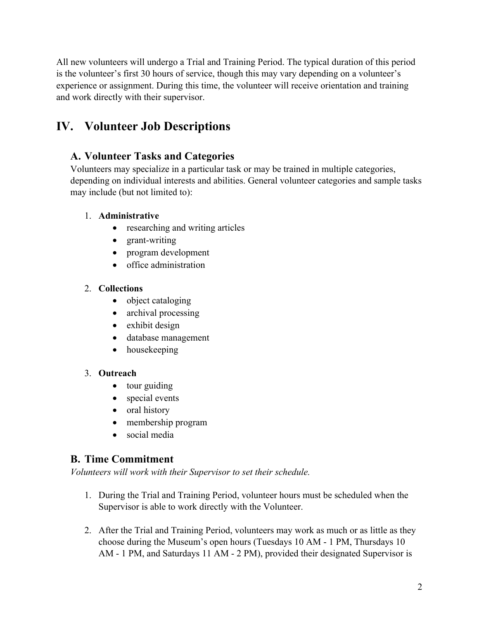All new volunteers will undergo a Trial and Training Period. The typical duration of this period is the volunteer's first 30 hours of service, though this may vary depending on a volunteer's experience or assignment. During this time, the volunteer will receive orientation and training and work directly with their supervisor.

# **IV. Volunteer Job Descriptions**

## **A. Volunteer Tasks and Categories**

Volunteers may specialize in a particular task or may be trained in multiple categories, depending on individual interests and abilities. General volunteer categories and sample tasks may include (but not limited to):

#### 1. **Administrative**

- researching and writing articles
- grant-writing
- program development
- office administration

#### 2. **Collections**

- object cataloging
- archival processing
- exhibit design
- database management
- housekeeping

#### 3. **Outreach**

- tour guiding
- special events
- oral history
- membership program
- social media

### **B. Time Commitment**

*Volunteers will work with their Supervisor to set their schedule.* 

- 1. During the Trial and Training Period, volunteer hours must be scheduled when the Supervisor is able to work directly with the Volunteer.
- 2. After the Trial and Training Period, volunteers may work as much or as little as they choose during the Museum's open hours (Tuesdays 10 AM - 1 PM, Thursdays 10 AM - 1 PM, and Saturdays 11 AM - 2 PM), provided their designated Supervisor is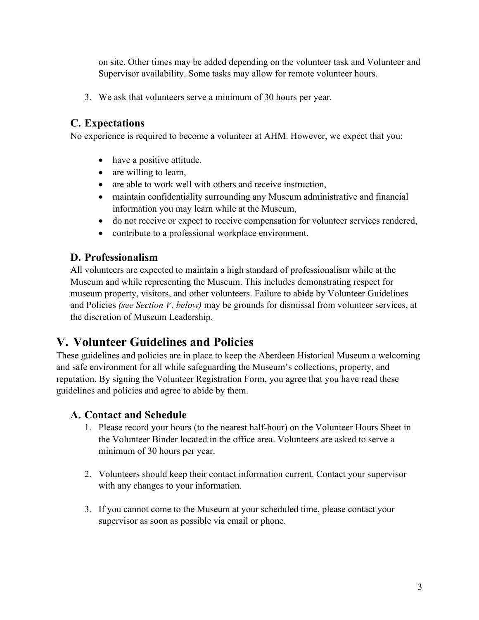on site. Other times may be added depending on the volunteer task and Volunteer and Supervisor availability. Some tasks may allow for remote volunteer hours.

3. We ask that volunteers serve a minimum of 30 hours per year.

## **C. Expectations**

No experience is required to become a volunteer at AHM. However, we expect that you:

- have a positive attitude,
- are willing to learn,
- are able to work well with others and receive instruction,
- maintain confidentiality surrounding any Museum administrative and financial information you may learn while at the Museum,
- do not receive or expect to receive compensation for volunteer services rendered,
- contribute to a professional workplace environment.

## **D. Professionalism**

All volunteers are expected to maintain a high standard of professionalism while at the Museum and while representing the Museum. This includes demonstrating respect for museum property, visitors, and other volunteers. Failure to abide by Volunteer Guidelines and Policies *(see Section V. below)* may be grounds for dismissal from volunteer services, at the discretion of Museum Leadership.

# **V. Volunteer Guidelines and Policies**

These guidelines and policies are in place to keep the Aberdeen Historical Museum a welcoming and safe environment for all while safeguarding the Museum's collections, property, and reputation. By signing the Volunteer Registration Form, you agree that you have read these guidelines and policies and agree to abide by them.

### **A. Contact and Schedule**

- 1. Please record your hours (to the nearest half-hour) on the Volunteer Hours Sheet in the Volunteer Binder located in the office area. Volunteers are asked to serve a minimum of 30 hours per year.
- 2. Volunteers should keep their contact information current. Contact your supervisor with any changes to your information.
- 3. If you cannot come to the Museum at your scheduled time, please contact your supervisor as soon as possible via email or phone.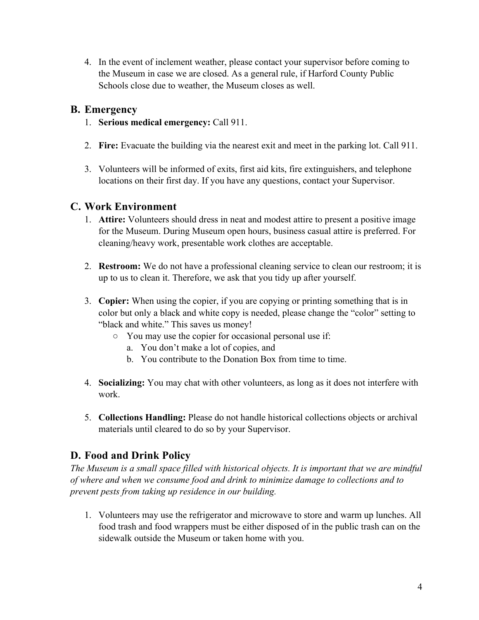4. In the event of inclement weather, please contact your supervisor before coming to the Museum in case we are closed. As a general rule, if Harford County Public Schools close due to weather, the Museum closes as well.

#### **B. Emergency**

- 1. **Serious medical emergency:** Call 911.
- 2. **Fire:** Evacuate the building via the nearest exit and meet in the parking lot. Call 911.
- 3. Volunteers will be informed of exits, first aid kits, fire extinguishers, and telephone locations on their first day. If you have any questions, contact your Supervisor.

### **C. Work Environment**

- 1. **Attire:** Volunteers should dress in neat and modest attire to present a positive image for the Museum. During Museum open hours, business casual attire is preferred. For cleaning/heavy work, presentable work clothes are acceptable.
- 2. **Restroom:** We do not have a professional cleaning service to clean our restroom; it is up to us to clean it. Therefore, we ask that you tidy up after yourself.
- 3. **Copier:** When using the copier, if you are copying or printing something that is in color but only a black and white copy is needed, please change the "color" setting to "black and white." This saves us money!
	- You may use the copier for occasional personal use if:
		- a. You don't make a lot of copies, and
		- b. You contribute to the Donation Box from time to time.
- 4. **Socializing:** You may chat with other volunteers, as long as it does not interfere with work.
- 5. **Collections Handling:** Please do not handle historical collections objects or archival materials until cleared to do so by your Supervisor.

## **D. Food and Drink Policy**

*The Museum is a small space filled with historical objects. It is important that we are mindful of where and when we consume food and drink to minimize damage to collections and to prevent pests from taking up residence in our building.* 

1. Volunteers may use the refrigerator and microwave to store and warm up lunches. All food trash and food wrappers must be either disposed of in the public trash can on the sidewalk outside the Museum or taken home with you.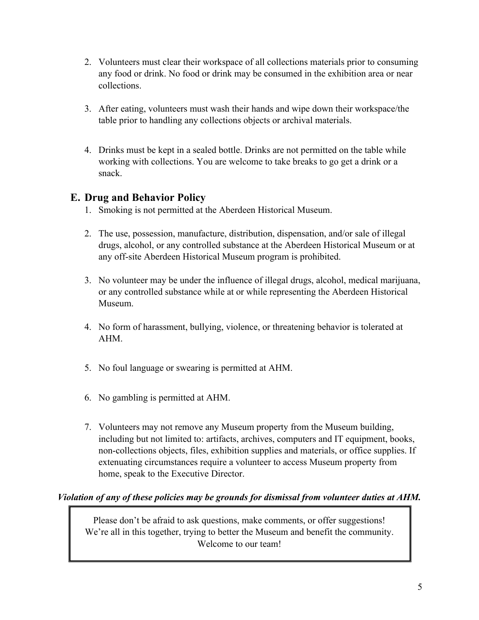- 2. Volunteers must clear their workspace of all collections materials prior to consuming any food or drink. No food or drink may be consumed in the exhibition area or near collections.
- 3. After eating, volunteers must wash their hands and wipe down their workspace/the table prior to handling any collections objects or archival materials.
- 4. Drinks must be kept in a sealed bottle. Drinks are not permitted on the table while working with collections. You are welcome to take breaks to go get a drink or a snack.

## **E. Drug and Behavior Policy**

- 1. Smoking is not permitted at the Aberdeen Historical Museum.
- 2. The use, possession, manufacture, distribution, dispensation, and/or sale of illegal drugs, alcohol, or any controlled substance at the Aberdeen Historical Museum or at any off-site Aberdeen Historical Museum program is prohibited.
- 3. No volunteer may be under the influence of illegal drugs, alcohol, medical marijuana, or any controlled substance while at or while representing the Aberdeen Historical Museum.
- 4. No form of harassment, bullying, violence, or threatening behavior is tolerated at AHM.
- 5. No foul language or swearing is permitted at AHM.
- 6. No gambling is permitted at AHM.
- 7. Volunteers may not remove any Museum property from the Museum building, including but not limited to: artifacts, archives, computers and IT equipment, books, non-collections objects, files, exhibition supplies and materials, or office supplies. If extenuating circumstances require a volunteer to access Museum property from home, speak to the Executive Director.

### *Violation of any of these policies may be grounds for dismissal from volunteer duties at AHM.*

Please don't be afraid to ask questions, make comments, or offer suggestions! We're all in this together, trying to better the Museum and benefit the community. Welcome to our team!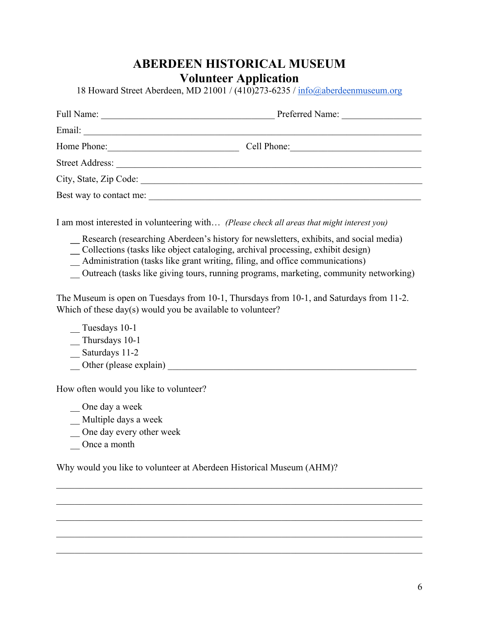## **ABERDEEN HISTORICAL MUSEUM Volunteer Application**

18 Howard Street Aberdeen, MD 21001 / (410)273-6235 / info@aberdeenmuseum.org

| Full Name:              | Preferred Name: |  |  |  |
|-------------------------|-----------------|--|--|--|
| Email:                  |                 |  |  |  |
| Home Phone:             | Cell Phone:     |  |  |  |
| <b>Street Address:</b>  |                 |  |  |  |
| City, State, Zip Code:  |                 |  |  |  |
| Best way to contact me: |                 |  |  |  |

I am most interested in volunteering with… *(Please check all areas that might interest you)*

**\_\_** Research (researching Aberdeen's history for newsletters, exhibits, and social media)

**\_\_** Collections (tasks like object cataloging, archival processing, exhibit design)

\_\_ Administration (tasks like grant writing, filing, and office communications)

\_\_ Outreach (tasks like giving tours, running programs, marketing, community networking)

The Museum is open on Tuesdays from 10-1, Thursdays from 10-1, and Saturdays from 11-2. Which of these day(s) would you be available to volunteer?

\_\_ Tuesdays 10-1

\_\_ Thursdays 10-1

\_\_ Saturdays 11-2

Other (please explain) **Department** of the set of the set of the set of the set of the set of the set of the set of the set of the set of the set of the set of the set of the set of the set of the set of the set of the set

How often would you like to volunteer?

\_\_ One day a week

\_\_ Multiple days a week

\_\_ One day every other week

\_\_ Once a month

Why would you like to volunteer at Aberdeen Historical Museum (AHM)?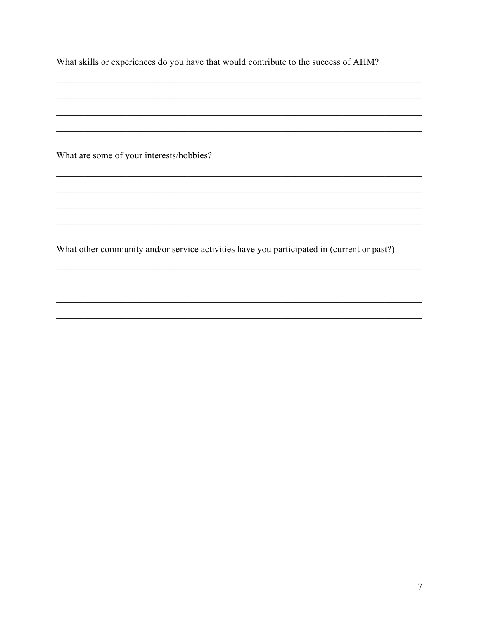What are some of your interests/hobbies?

What other community and/or service activities have you participated in (current or past?)

<u> 1989 - Johann Stoff, amerikansk politiker (d. 1989)</u>